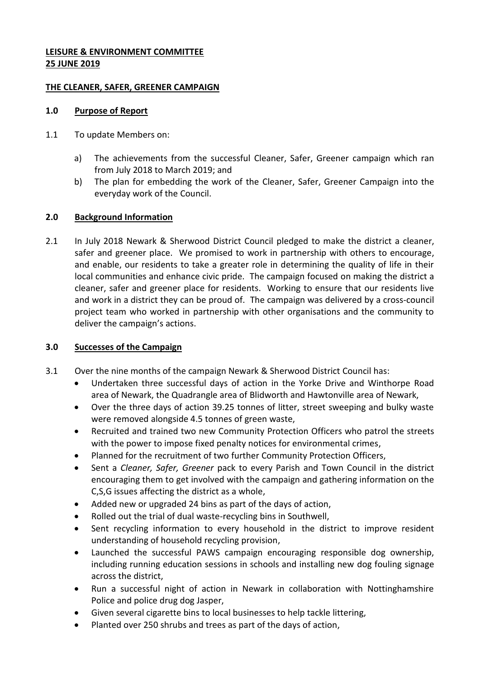# **LEISURE & ENVIRONMENT COMMITTEE 25 JUNE 2019**

### **THE CLEANER, SAFER, GREENER CAMPAIGN**

### **1.0 Purpose of Report**

- 1.1 To update Members on:
	- a) The achievements from the successful Cleaner, Safer, Greener campaign which ran from July 2018 to March 2019; and
	- b) The plan for embedding the work of the Cleaner, Safer, Greener Campaign into the everyday work of the Council.

# **2.0 Background Information**

2.1 In July 2018 Newark & Sherwood District Council pledged to make the district a cleaner, safer and greener place. We promised to work in partnership with others to encourage, and enable, our residents to take a greater role in determining the quality of life in their local communities and enhance civic pride. The campaign focused on making the district a cleaner, safer and greener place for residents. Working to ensure that our residents live and work in a district they can be proud of. The campaign was delivered by a cross-council project team who worked in partnership with other organisations and the community to deliver the campaign's actions.

#### **3.0 Successes of the Campaign**

- 3.1 Over the nine months of the campaign Newark & Sherwood District Council has:
	- Undertaken three successful days of action in the Yorke Drive and Winthorpe Road area of Newark, the Quadrangle area of Blidworth and Hawtonville area of Newark,
	- Over the three days of action 39.25 tonnes of litter, street sweeping and bulky waste were removed alongside 4.5 tonnes of green waste,
	- Recruited and trained two new Community Protection Officers who patrol the streets with the power to impose fixed penalty notices for environmental crimes,
	- Planned for the recruitment of two further Community Protection Officers,
	- Sent a *Cleaner, Safer, Greener* pack to every Parish and Town Council in the district encouraging them to get involved with the campaign and gathering information on the C,S,G issues affecting the district as a whole,
	- Added new or upgraded 24 bins as part of the days of action,
	- Rolled out the trial of dual waste-recycling bins in Southwell,
	- Sent recycling information to every household in the district to improve resident understanding of household recycling provision,
	- Launched the successful PAWS campaign encouraging responsible dog ownership, including running education sessions in schools and installing new dog fouling signage across the district,
	- Run a successful night of action in Newark in collaboration with Nottinghamshire Police and police drug dog Jasper,
	- Given several cigarette bins to local businesses to help tackle littering,
	- Planted over 250 shrubs and trees as part of the days of action,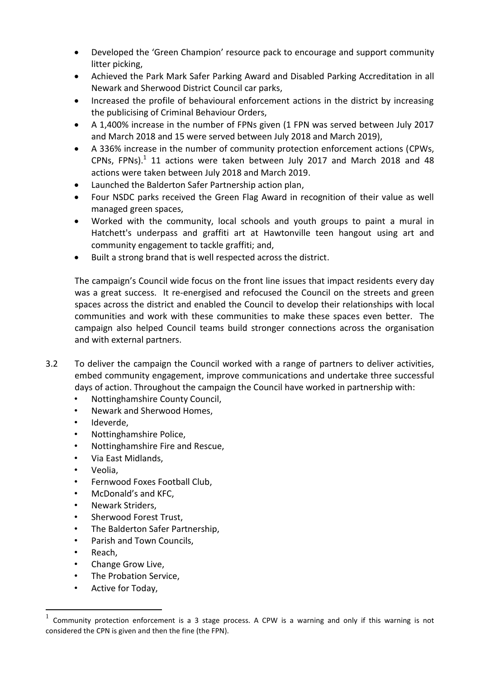- Developed the 'Green Champion' resource pack to encourage and support community litter picking,
- Achieved the Park Mark Safer Parking Award and Disabled Parking Accreditation in all Newark and Sherwood District Council car parks,
- Increased the profile of behavioural enforcement actions in the district by increasing the publicising of Criminal Behaviour Orders,
- A 1,400% increase in the number of FPNs given (1 FPN was served between July 2017 and March 2018 and 15 were served between July 2018 and March 2019),
- A 336% increase in the number of community protection enforcement actions (CPWs, CPNs, FPNs). $1$  11 actions were taken between July 2017 and March 2018 and 48 actions were taken between July 2018 and March 2019.
- Launched the Balderton Safer Partnership action plan,
- Four NSDC parks received the Green Flag Award in recognition of their value as well managed green spaces,
- Worked with the community, local schools and youth groups to paint a mural in Hatchett's underpass and graffiti art at Hawtonville teen hangout using art and community engagement to tackle graffiti; and,
- Built a strong brand that is well respected across the district.

The campaign's Council wide focus on the front line issues that impact residents every day was a great success. It re-energised and refocused the Council on the streets and green spaces across the district and enabled the Council to develop their relationships with local communities and work with these communities to make these spaces even better. The campaign also helped Council teams build stronger connections across the organisation and with external partners.

- 3.2 To deliver the campaign the Council worked with a range of partners to deliver activities, embed community engagement, improve communications and undertake three successful days of action. Throughout the campaign the Council have worked in partnership with:
	- Nottinghamshire County Council,
	- Newark and Sherwood Homes,
	- Ideverde,
	- Nottinghamshire Police,
	- Nottinghamshire Fire and Rescue,
	- Via East Midlands,
	- Veolia.
	- Fernwood Foxes Football Club,
	- McDonald's and KFC,
	- Newark Striders,
	- Sherwood Forest Trust.
	- The Balderton Safer Partnership,
	- Parish and Town Councils,
	- Reach.

1

- Change Grow Live,
- The Probation Service,
- Active for Today,

<sup>1</sup> Community protection enforcement is a 3 stage process. A CPW is a warning and only if this warning is not considered the CPN is given and then the fine (the FPN).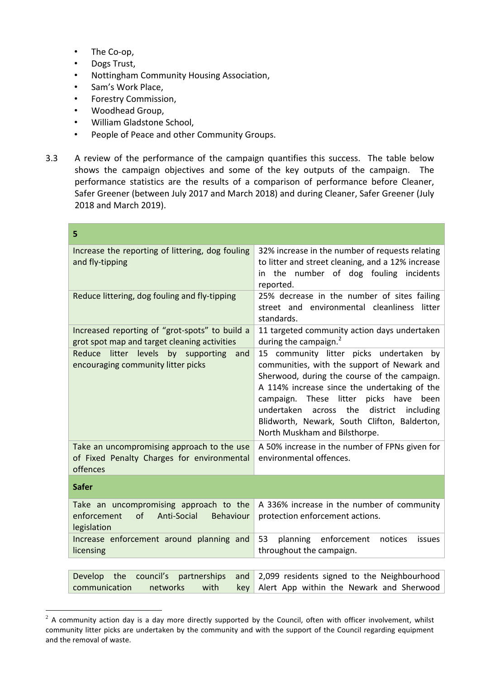- The Co-op,
- Dogs Trust,

<u>.</u>

- Nottingham Community Housing Association,
- Sam's Work Place,
- Forestry Commission,
- Woodhead Group,
- William Gladstone School,
- People of Peace and other Community Groups.
- 3.3 A review of the performance of the campaign quantifies this success. The table below shows the campaign objectives and some of the key outputs of the campaign. The performance statistics are the results of a comparison of performance before Cleaner, Safer Greener (between July 2017 and March 2018) and during Cleaner, Safer Greener (July 2018 and March 2019).

| 5                                                                                                      |                                                                                                                                                                                                                                                                                                                                                                           |
|--------------------------------------------------------------------------------------------------------|---------------------------------------------------------------------------------------------------------------------------------------------------------------------------------------------------------------------------------------------------------------------------------------------------------------------------------------------------------------------------|
| Increase the reporting of littering, dog fouling<br>and fly-tipping                                    | 32% increase in the number of requests relating<br>to litter and street cleaning, and a 12% increase<br>in the number of dog fouling incidents<br>reported.                                                                                                                                                                                                               |
| Reduce littering, dog fouling and fly-tipping                                                          | 25% decrease in the number of sites failing<br>street and environmental cleanliness litter<br>standards.                                                                                                                                                                                                                                                                  |
| Increased reporting of "grot-spots" to build a<br>grot spot map and target cleaning activities         | 11 targeted community action days undertaken<br>during the campaign. <sup>2</sup>                                                                                                                                                                                                                                                                                         |
| litter levels by supporting<br>Reduce<br>and<br>encouraging community litter picks                     | 15 community litter picks undertaken<br>by<br>communities, with the support of Newark and<br>Sherwood, during the course of the campaign.<br>A 114% increase since the undertaking of the<br>campaign. These litter picks have<br>been<br>undertaken across the<br>district<br>including<br>Blidworth, Newark, South Clifton, Balderton,<br>North Muskham and Bilsthorpe. |
| Take an uncompromising approach to the use<br>of Fixed Penalty Charges for environmental<br>offences   | A 50% increase in the number of FPNs given for<br>environmental offences.                                                                                                                                                                                                                                                                                                 |
| <b>Safer</b>                                                                                           |                                                                                                                                                                                                                                                                                                                                                                           |
| Take an uncompromising approach to the<br>enforcement<br>of<br>Anti-Social<br>Behaviour<br>legislation | A 336% increase in the number of community<br>protection enforcement actions.                                                                                                                                                                                                                                                                                             |
| Increase enforcement around planning and<br>licensing                                                  | 53<br>planning enforcement<br>notices<br>issues<br>throughout the campaign.                                                                                                                                                                                                                                                                                               |
|                                                                                                        |                                                                                                                                                                                                                                                                                                                                                                           |
| Develop the<br>council's<br>partnerships<br>and<br>communication<br>with<br>networks<br>key            | 2,099 residents signed to the Neighbourhood<br>Alert App within the Newark and Sherwood                                                                                                                                                                                                                                                                                   |

 $^2$  A community action day is a day more directly supported by the Council, often with officer involvement, whilst community litter picks are undertaken by the community and with the support of the Council regarding equipment and the removal of waste.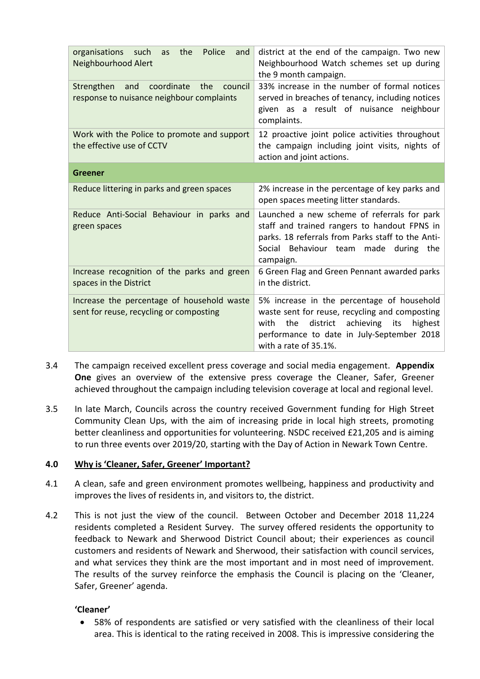| Police<br>organisations such<br>the<br>and<br>as<br>Neighbourhood Alert                     | district at the end of the campaign. Two new<br>Neighbourhood Watch schemes set up during<br>the 9 month campaign.                                                                                                   |
|---------------------------------------------------------------------------------------------|----------------------------------------------------------------------------------------------------------------------------------------------------------------------------------------------------------------------|
| coordinate<br>Strengthen and<br>the<br>council<br>response to nuisance neighbour complaints | 33% increase in the number of formal notices<br>served in breaches of tenancy, including notices<br>given as a result of nuisance neighbour<br>complaints.                                                           |
| Work with the Police to promote and support<br>the effective use of CCTV                    | 12 proactive joint police activities throughout<br>the campaign including joint visits, nights of<br>action and joint actions.                                                                                       |
| <b>Greener</b>                                                                              |                                                                                                                                                                                                                      |
| Reduce littering in parks and green spaces                                                  | 2% increase in the percentage of key parks and<br>open spaces meeting litter standards.                                                                                                                              |
| Reduce Anti-Social Behaviour in parks and<br>green spaces                                   | Launched a new scheme of referrals for park<br>staff and trained rangers to handout FPNS in<br>parks. 18 referrals from Parks staff to the Anti-<br>Social Behaviour team made during the<br>campaign.               |
| Increase recognition of the parks and green<br>spaces in the District                       | 6 Green Flag and Green Pennant awarded parks<br>in the district.                                                                                                                                                     |
| Increase the percentage of household waste<br>sent for reuse, recycling or composting       | 5% increase in the percentage of household<br>waste sent for reuse, recycling and composting<br>district achieving its highest<br>the<br>with<br>performance to date in July-September 2018<br>with a rate of 35.1%. |

- 3.4 The campaign received excellent press coverage and social media engagement. **Appendix One** gives an overview of the extensive press coverage the Cleaner, Safer, Greener achieved throughout the campaign including television coverage at local and regional level.
- 3.5 In late March, Councils across the country received Government funding for High Street Community Clean Ups, with the aim of increasing pride in local high streets, promoting better cleanliness and opportunities for volunteering. NSDC received £21,205 and is aiming to run three events over 2019/20, starting with the Day of Action in Newark Town Centre.

# **4.0 Why is 'Cleaner, Safer, Greener' Important?**

- 4.1 A clean, safe and green environment promotes wellbeing, happiness and productivity and improves the lives of residents in, and visitors to, the district.
- 4.2 This is not just the view of the council. Between October and December 2018 11,224 residents completed a Resident Survey. The survey offered residents the opportunity to feedback to Newark and Sherwood District Council about; their experiences as council customers and residents of Newark and Sherwood, their satisfaction with council services, and what services they think are the most important and in most need of improvement. The results of the survey reinforce the emphasis the Council is placing on the 'Cleaner, Safer, Greener' agenda.

# **'Cleaner'**

 58% of respondents are satisfied or very satisfied with the cleanliness of their local area. This is identical to the rating received in 2008. This is impressive considering the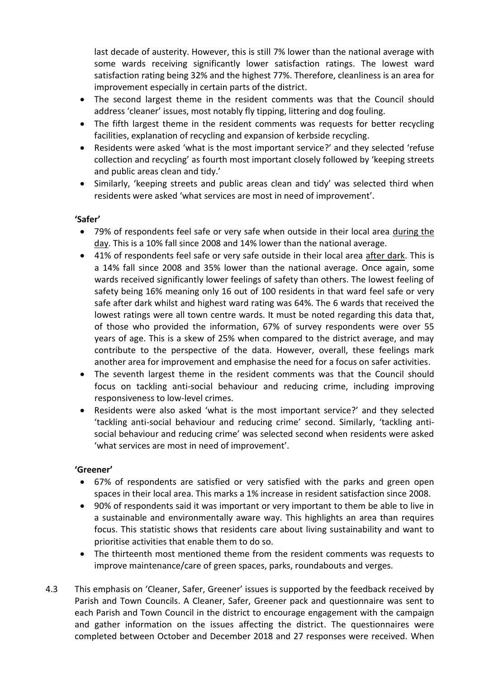last decade of austerity. However, this is still 7% lower than the national average with some wards receiving significantly lower satisfaction ratings. The lowest ward satisfaction rating being 32% and the highest 77%. Therefore, cleanliness is an area for improvement especially in certain parts of the district.

- The second largest theme in the resident comments was that the Council should address 'cleaner' issues, most notably fly tipping, littering and dog fouling.
- The fifth largest theme in the resident comments was requests for better recycling facilities, explanation of recycling and expansion of kerbside recycling.
- Residents were asked 'what is the most important service?' and they selected 'refuse collection and recycling' as fourth most important closely followed by 'keeping streets and public areas clean and tidy.'
- Similarly, 'keeping streets and public areas clean and tidy' was selected third when residents were asked 'what services are most in need of improvement'.

# **'Safer'**

- 79% of respondents feel safe or very safe when outside in their local area during the day. This is a 10% fall since 2008 and 14% lower than the national average.
- 41% of respondents feel safe or very safe outside in their local area after dark. This is a 14% fall since 2008 and 35% lower than the national average. Once again, some wards received significantly lower feelings of safety than others. The lowest feeling of safety being 16% meaning only 16 out of 100 residents in that ward feel safe or very safe after dark whilst and highest ward rating was 64%. The 6 wards that received the lowest ratings were all town centre wards. It must be noted regarding this data that, of those who provided the information, 67% of survey respondents were over 55 years of age. This is a skew of 25% when compared to the district average, and may contribute to the perspective of the data. However, overall, these feelings mark another area for improvement and emphasise the need for a focus on safer activities.
- The seventh largest theme in the resident comments was that the Council should focus on tackling anti-social behaviour and reducing crime, including improving responsiveness to low-level crimes.
- Residents were also asked 'what is the most important service?' and they selected 'tackling anti-social behaviour and reducing crime' second. Similarly, 'tackling antisocial behaviour and reducing crime' was selected second when residents were asked 'what services are most in need of improvement'.

# **'Greener'**

- 67% of respondents are satisfied or very satisfied with the parks and green open spaces in their local area. This marks a 1% increase in resident satisfaction since 2008.
- 90% of respondents said it was important or very important to them be able to live in a sustainable and environmentally aware way. This highlights an area than requires focus. This statistic shows that residents care about living sustainability and want to prioritise activities that enable them to do so.
- The thirteenth most mentioned theme from the resident comments was requests to improve maintenance/care of green spaces, parks, roundabouts and verges.
- 4.3 This emphasis on 'Cleaner, Safer, Greener' issues is supported by the feedback received by Parish and Town Councils. A Cleaner, Safer, Greener pack and questionnaire was sent to each Parish and Town Council in the district to encourage engagement with the campaign and gather information on the issues affecting the district. The questionnaires were completed between October and December 2018 and 27 responses were received. When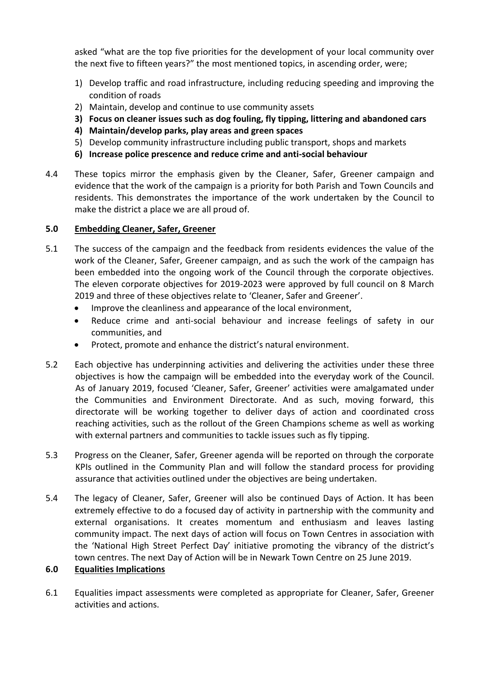asked "what are the top five priorities for the development of your local community over the next five to fifteen years?" the most mentioned topics, in ascending order, were;

- 1) Develop traffic and road infrastructure, including reducing speeding and improving the condition of roads
- 2) Maintain, develop and continue to use community assets
- **3) Focus on cleaner issues such as dog fouling, fly tipping, littering and abandoned cars**
- **4) Maintain/develop parks, play areas and green spaces**
- 5) Develop community infrastructure including public transport, shops and markets
- **6) Increase police prescence and reduce crime and anti-social behaviour**
- 4.4 These topics mirror the emphasis given by the Cleaner, Safer, Greener campaign and evidence that the work of the campaign is a priority for both Parish and Town Councils and residents. This demonstrates the importance of the work undertaken by the Council to make the district a place we are all proud of.

### **5.0 Embedding Cleaner, Safer, Greener**

- 5.1 The success of the campaign and the feedback from residents evidences the value of the work of the Cleaner, Safer, Greener campaign, and as such the work of the campaign has been embedded into the ongoing work of the Council through the corporate objectives. The eleven corporate objectives for 2019-2023 were approved by full council on 8 March 2019 and three of these objectives relate to 'Cleaner, Safer and Greener'.
	- Improve the cleanliness and appearance of the local environment,
	- Reduce crime and anti-social behaviour and increase feelings of safety in our communities, and
	- Protect, promote and enhance the district's natural environment.
- 5.2 Each objective has underpinning activities and delivering the activities under these three objectives is how the campaign will be embedded into the everyday work of the Council. As of January 2019, focused 'Cleaner, Safer, Greener' activities were amalgamated under the Communities and Environment Directorate. And as such, moving forward, this directorate will be working together to deliver days of action and coordinated cross reaching activities, such as the rollout of the Green Champions scheme as well as working with external partners and communities to tackle issues such as fly tipping.
- 5.3 Progress on the Cleaner, Safer, Greener agenda will be reported on through the corporate KPIs outlined in the Community Plan and will follow the standard process for providing assurance that activities outlined under the objectives are being undertaken.
- 5.4 The legacy of Cleaner, Safer, Greener will also be continued Days of Action. It has been extremely effective to do a focused day of activity in partnership with the community and external organisations. It creates momentum and enthusiasm and leaves lasting community impact. The next days of action will focus on Town Centres in association with the 'National High Street Perfect Day' initiative promoting the vibrancy of the district's town centres. The next Day of Action will be in Newark Town Centre on 25 June 2019.

# **6.0 Equalities Implications**

6.1 Equalities impact assessments were completed as appropriate for Cleaner, Safer, Greener activities and actions.